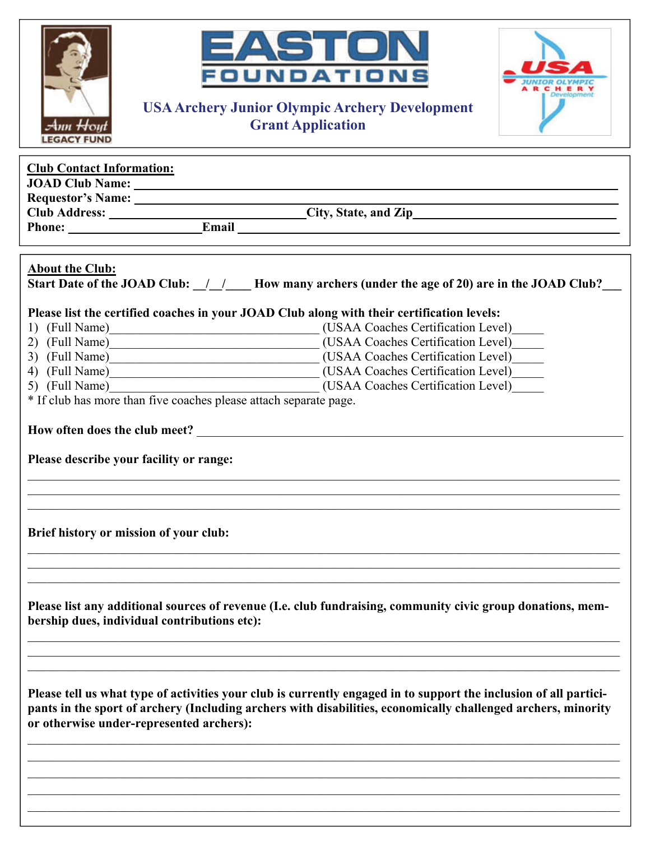| EASTON<br>FOUNDATIONS<br><b>USA Archery Junior Olympic Archery Development</b><br><b>Grant Application</b><br>Ann Hom                                                                                                                                                                                              |
|--------------------------------------------------------------------------------------------------------------------------------------------------------------------------------------------------------------------------------------------------------------------------------------------------------------------|
| <b>Club Contact Information:</b>                                                                                                                                                                                                                                                                                   |
| <b>About the Club:</b><br>Start Date of the JOAD Club: $\frac{1}{1}$ $\frac{1}{1}$ How many archers (under the age of 20) are in the JOAD Club?<br>Please list the certified coaches in your JOAD Club along with their certification levels:<br>* If club has more than five coaches please attach separate page. |
| Please describe your facility or range:<br>Brief history or mission of your club:                                                                                                                                                                                                                                  |
| Please list any additional sources of revenue (I.e. club fundraising, community civic group donations, mem-<br>bership dues, individual contributions etc):                                                                                                                                                        |
| Please tell us what type of activities your club is currently engaged in to support the inclusion of all partici-<br>pants in the sport of archery (Including archers with disabilities, economically challenged archers, minority<br>or otherwise under-represented archers):                                     |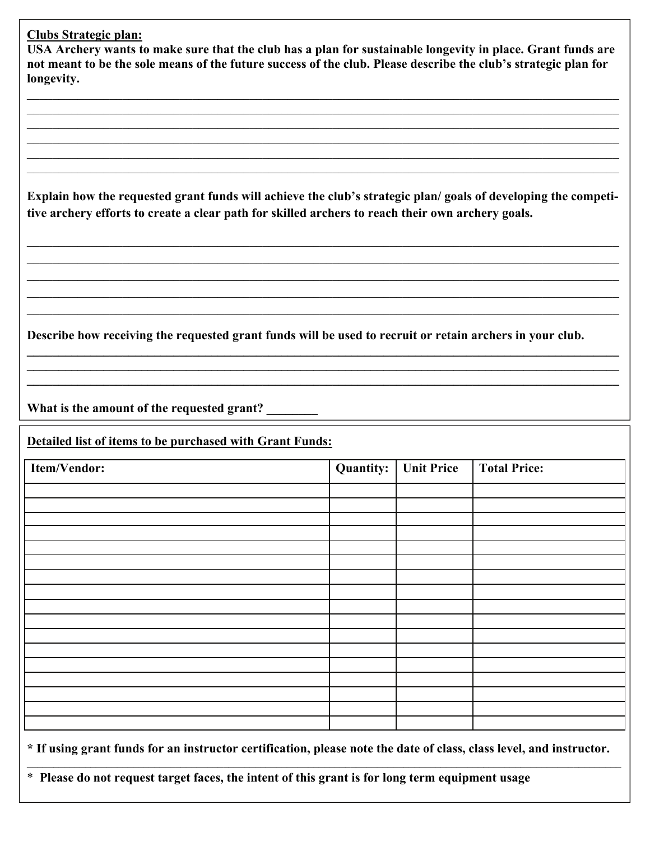## **Clubs Strategic plan:**

**USA Archery wants to make sure that the club has a plan for sustainable longevity in place. Grant funds are not meant to be the sole means of the future success of the club. Please describe the club's strategic plan for longevity.** 

 $\_$  , and the contribution of the contribution of the contribution of the contribution of the contribution of  $\mathcal{L}_\mathrm{max}$  $\_$  , and the contribution of the contribution of the contribution of the contribution of the contribution of  $\mathcal{L}_\mathrm{max}$  $\_$  , and the contribution of the contribution of the contribution of the contribution of the contribution of  $\mathcal{L}_\mathrm{max}$  $\_$  , and the contribution of the contribution of the contribution of the contribution of the contribution of  $\mathcal{L}_\mathrm{max}$  $\mathcal{L}_\mathcal{L} = \mathcal{L}_\mathcal{L} = \mathcal{L}_\mathcal{L} = \mathcal{L}_\mathcal{L} = \mathcal{L}_\mathcal{L} = \mathcal{L}_\mathcal{L} = \mathcal{L}_\mathcal{L} = \mathcal{L}_\mathcal{L} = \mathcal{L}_\mathcal{L} = \mathcal{L}_\mathcal{L} = \mathcal{L}_\mathcal{L} = \mathcal{L}_\mathcal{L} = \mathcal{L}_\mathcal{L} = \mathcal{L}_\mathcal{L} = \mathcal{L}_\mathcal{L} = \mathcal{L}_\mathcal{L} = \mathcal{L}_\mathcal{L}$  $\_$  , and the contribution of the contribution of the contribution of the contribution of the contribution of  $\mathcal{L}_\text{max}$ 

**Explain how the requested grant funds will achieve the club's strategic plan/ goals of developing the competitive archery efforts to create a clear path for skilled archers to reach their own archery goals.** 

 $\_$  , and the contribution of the contribution of the contribution of the contribution of the contribution of  $\mathcal{L}_\mathrm{max}$  $\_$  , and the contribution of the contribution of the contribution of the contribution of the contribution of  $\mathcal{L}_\mathrm{max}$  $\_$  , and the contribution of the contribution of the contribution of the contribution of the contribution of  $\mathcal{L}_\mathrm{max}$  $\_$  , and the contribution of the contribution of the contribution of the contribution of the contribution of  $\mathcal{L}_\mathrm{max}$  $\_$  , and the contribution of the contribution of the contribution of the contribution of the contribution of  $\mathcal{L}_\text{max}$ 

**Describe how receiving the requested grant funds will be used to recruit or retain archers in your club.** 

**\_\_\_\_\_\_\_\_\_\_\_\_\_\_\_\_\_\_\_\_\_\_\_\_\_\_\_\_\_\_\_\_\_\_\_\_\_\_\_\_\_\_\_\_\_\_\_\_\_\_\_\_\_\_\_\_\_\_\_\_\_\_\_\_\_\_\_\_\_\_\_\_\_\_\_\_\_\_\_\_\_\_\_\_\_\_\_\_\_\_\_\_\_ \_\_\_\_\_\_\_\_\_\_\_\_\_\_\_\_\_\_\_\_\_\_\_\_\_\_\_\_\_\_\_\_\_\_\_\_\_\_\_\_\_\_\_\_\_\_\_\_\_\_\_\_\_\_\_\_\_\_\_\_\_\_\_\_\_\_\_\_\_\_\_\_\_\_\_\_\_\_\_\_\_\_\_\_\_\_\_\_\_\_\_\_\_ \_\_\_\_\_\_\_\_\_\_\_\_\_\_\_\_\_\_\_\_\_\_\_\_\_\_\_\_\_\_\_\_\_\_\_\_\_\_\_\_\_\_\_\_\_\_\_\_\_\_\_\_\_\_\_\_\_\_\_\_\_\_\_\_\_\_\_\_\_\_\_\_\_\_\_\_\_\_\_\_\_\_\_\_\_\_\_\_\_\_\_\_\_** 

**What is the amount of the requested grant? \_\_\_\_\_\_\_\_** 

**Detailed list of items to be purchased with Grant Funds:**

| Item/Vendor: | <b>Quantity:</b> | <b>Unit Price</b> | <b>Total Price:</b> |
|--------------|------------------|-------------------|---------------------|
|              |                  |                   |                     |
|              |                  |                   |                     |
|              |                  |                   |                     |
|              |                  |                   |                     |
|              |                  |                   |                     |
|              |                  |                   |                     |
|              |                  |                   |                     |
|              |                  |                   |                     |
|              |                  |                   |                     |
|              |                  |                   |                     |
|              |                  |                   |                     |
|              |                  |                   |                     |
|              |                  |                   |                     |
|              |                  |                   |                     |

**\* If using grant funds for an instructor certification, please note the date of class, class level, and instructor.**  $\mathcal{L}_\text{max} = \mathcal{L}_\text{max} = \mathcal{L}_\text{max} = \mathcal{L}_\text{max} = \mathcal{L}_\text{max} = \mathcal{L}_\text{max} = \mathcal{L}_\text{max} = \mathcal{L}_\text{max} = \mathcal{L}_\text{max} = \mathcal{L}_\text{max} = \mathcal{L}_\text{max} = \mathcal{L}_\text{max} = \mathcal{L}_\text{max} = \mathcal{L}_\text{max} = \mathcal{L}_\text{max} = \mathcal{L}_\text{max} = \mathcal{L}_\text{max} = \mathcal{L}_\text{max} = \mathcal{$ 

\* **Please do not request target faces, the intent of this grant is for long term equipment usage**